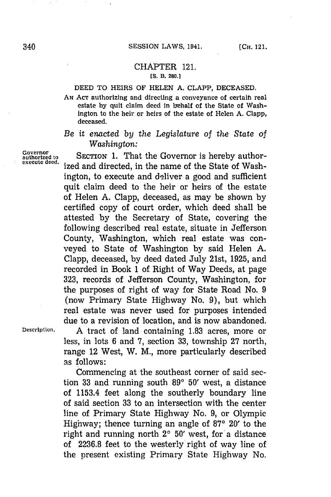## CHAPTER 121. **[S. B. 280.1**

## **DEED** TO HEIRS OF **HELEN A.** CLAPP, **DECEASED.**

**AN ACT** authorizing and directing **a** conveyance of certaift real estate **by** quit claim deed in behalf of the State of Washington to the heir or heirs of the estate of Helen **A.** Clapp, deceased.

## *Be it enacted by the Legislature of* the *State of Washington:*

Governor<br> **Governor** to **a** SECTION 1. That the Governor is hereby author-<br>
execute deed. ized and directed, in the name of the State of Washington, to execute and deliver a good and sufficient quit claim deed to the heir or heirs of the estate of Helen **A.** Clapp, deceased, as may be shown **by** certified copy of court order, which deed shall be attested **by** the Secretary of State, covering the following described real estate, situate in Jefferson County, Washington, which real estate was conveyed to State of Washington **by** said Helen **A.** Clapp, deceased, **by** deed dated July 21st, **1925,** and recorded in Book **1** of Right of Way Deeds, at page **323,** records of Jefferson County, Washington, for the purposes of right of way for State Road No. **9** (now Primary State Highway No. **9),** but which real estate was never used for purposes intended due to a revision of location, and is now abandoned. **Description. A** tract of land containing **1.83** acres, more or less, in lots **6** and **7,** section **33,** township **27** north,

range 12 West, W. M., more particularly described as follows:

Commencing at the southeast corner of said section 33 and running south 89° 50' west, a distance of 1153.4 feet along the southerly boundary line of said section **33** to an intersection with the center line of Primary State Highway No. **9,** or Olympic Highway; thence turning an angle of **87'** 20' to the right and running north **20 50'** west, for a distance of 2236.8 feet to the westerly right of way line of the present existing Primary State Highway No.